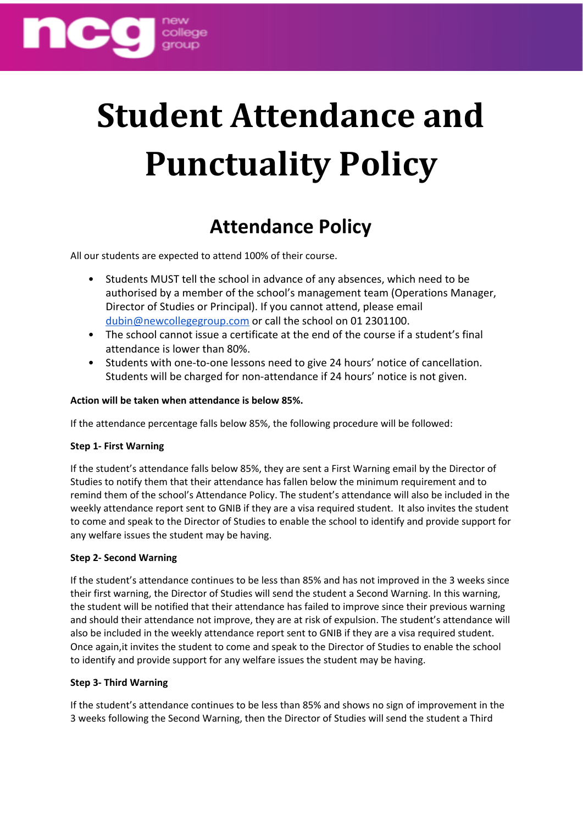

## **Student Attendance and Punctuality Policy**

## **Attendance Policy**

All our students are expected to attend 100% of their course.

- Students MUST tell the school in advance of any absences, which need to be authorised by a member of the school's management team (Operations Manager, Director of Studies or Principal). If you cannot attend, please email [dubin@newcollegegroup.com](mailto:dubin@newcollegegroup.com) or call the school on 01 2301100.
- The school cannot issue a certificate at the end of the course if a student's final attendance is lower than 80%.
- Students with one-to-one lessons need to give 24 hours' notice of cancellation. Students will be charged for non-attendance if 24 hours' notice is not given.

## **Action will be taken when attendance is below 85%.**

If the attendance percentage falls below 85%, the following procedure will be followed:

## **Step 1- First Warning**

If the student's attendance falls below 85%, they are sent a First Warning email by the Director of Studies to notify them that their attendance has fallen below the minimum requirement and to remind them of the school's Attendance Policy. The student's attendance will also be included in the weekly attendance report sent to GNIB if they are a visa required student. It also invites the student to come and speak to the Director of Studies to enable the school to identify and provide support for any welfare issues the student may be having.

## **Step 2- Second Warning**

If the student's attendance continues to be less than 85% and has not improved in the 3 weeks since their first warning, the Director of Studies will send the student a Second Warning. In this warning, the student will be notified that their attendance has failed to improve since their previous warning and should their attendance not improve, they are at risk of expulsion. The student's attendance will also be included in the weekly attendance report sent to GNIB if they are a visa required student. Once again,it invites the student to come and speak to the Director of Studies to enable the school to identify and provide support for any welfare issues the student may be having.

## **Step 3- Third Warning**

If the student's attendance continues to be less than 85% and shows no sign of improvement in the 3 weeks following the Second Warning, then the Director of Studies will send the student a Third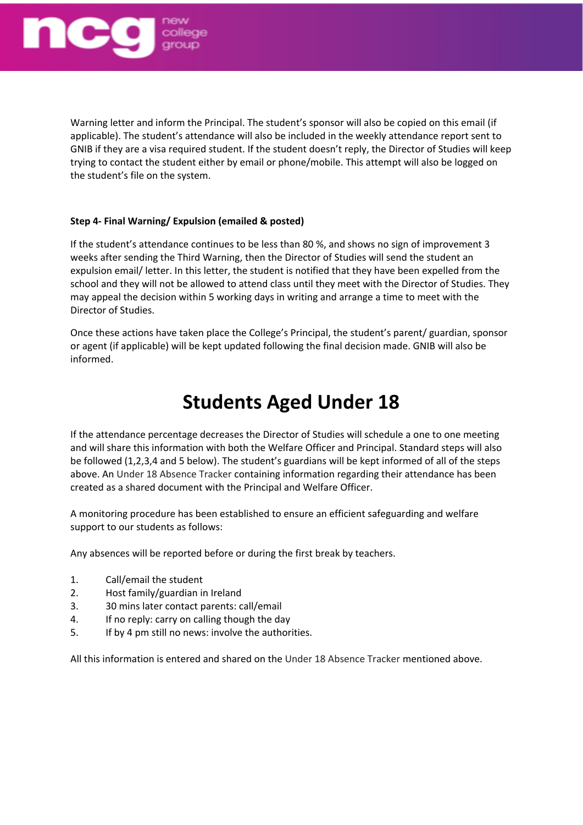

Warning letter and inform the Principal. The student's sponsor will also be copied on this email (if applicable). The student's attendance will also be included in the weekly attendance report sent to GNIB if they are a visa required student. If the student doesn't reply, the Director of Studies will keep trying to contact the student either by email or phone/mobile. This attempt will also be logged on the student's file on the system.

## **Step 4- Final Warning/ Expulsion (emailed & posted)**

If the student's attendance continues to be less than 80 %, and shows no sign of improvement 3 weeks after sending the Third Warning, then the Director of Studies will send the student an expulsion email/ letter. In this letter, the student is notified that they have been expelled from the school and they will not be allowed to attend class until they meet with the Director of Studies. They may appeal the decision within 5 working days in writing and arrange a time to meet with the Director of Studies.

Once these actions have taken place the College's Principal, the student's parent/ guardian, sponsor or agent (if applicable) will be kept updated following the final decision made. GNIB will also be informed.

## **Students Aged Under 18**

If the attendance percentage decreases the Director of Studies will schedule a one to one meeting and will share this information with both the Welfare Officer and Principal. Standard steps will also be followed (1,2,3,4 and 5 below). The student's guardians will be kept informed of all of the steps above. An Under 18 Absence Tracker containing information regarding their attendance has been created as a shared document with the Principal and Welfare Officer.

A monitoring procedure has been established to ensure an efficient safeguarding and welfare support to our students as follows:

Any absences will be reported before or during the first break by teachers.

- 1. Call/email the student
- 2. Host family/guardian in Ireland
- 3. 30 mins later contact parents: call/email
- 4. If no reply: carry on calling though the day
- 5. If by 4 pm still no news: involve the authorities.

All this information is entered and shared on the Under 18 Absence Tracker mentioned above.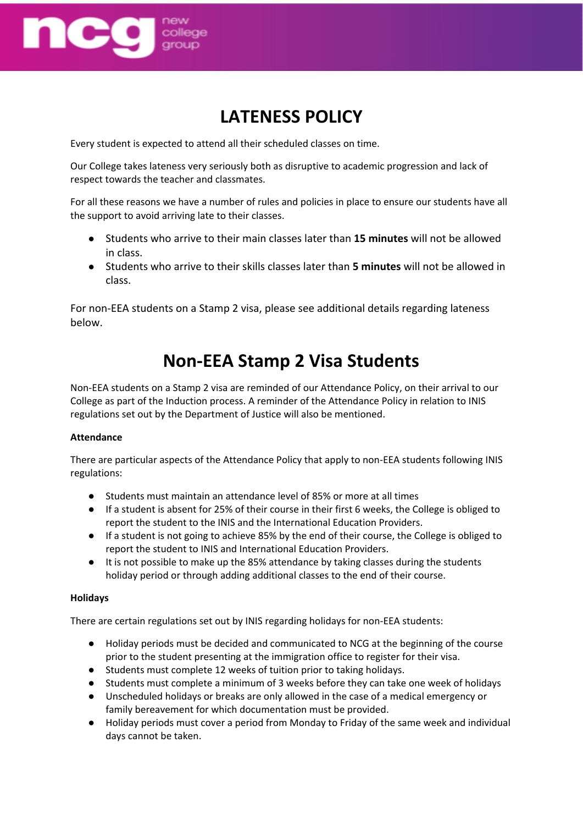

## **LATENESS POLICY**

Every student is expected to attend all their scheduled classes on time.

Our College takes lateness very seriously both as disruptive to academic progression and lack of respect towards the teacher and classmates.

For all these reasons we have a number of rules and policies in place to ensure our students have all the support to avoid arriving late to their classes.

- Students who arrive to their main classes later than **15 minutes** will not be allowed in class.
- Students who arrive to their skills classes later than **5 minutes** will not be allowed in class.

For non-EEA students on a Stamp 2 visa, please see additional details regarding lateness below.

## **Non-EEA Stamp 2 Visa Students**

Non-EEA students on a Stamp 2 visa are reminded of our Attendance Policy, on their arrival to our College as part of the Induction process. A reminder of the Attendance Policy in relation to INIS regulations set out by the Department of Justice will also be mentioned.

## **Attendance**

There are particular aspects of the Attendance Policy that apply to non-EEA students following INIS regulations:

- Students must maintain an attendance level of 85% or more at all times
- If a student is absent for 25% of their course in their first 6 weeks, the College is obliged to report the student to the INIS and the International Education Providers.
- If a student is not going to achieve 85% by the end of their course, the College is obliged to report the student to INIS and International Education Providers.
- It is not possible to make up the 85% attendance by taking classes during the students holiday period or through adding additional classes to the end of their course.

## **Holidays**

There are certain regulations set out by INIS regarding holidays for non-EEA students:

- Holiday periods must be decided and communicated to NCG at the beginning of the course prior to the student presenting at the immigration office to register for their visa.
- Students must complete 12 weeks of tuition prior to taking holidays.
- Students must complete a minimum of 3 weeks before they can take one week of holidays
- Unscheduled holidays or breaks are only allowed in the case of a medical emergency or family bereavement for which documentation must be provided.
- Holiday periods must cover a period from Monday to Friday of the same week and individual days cannot be taken.